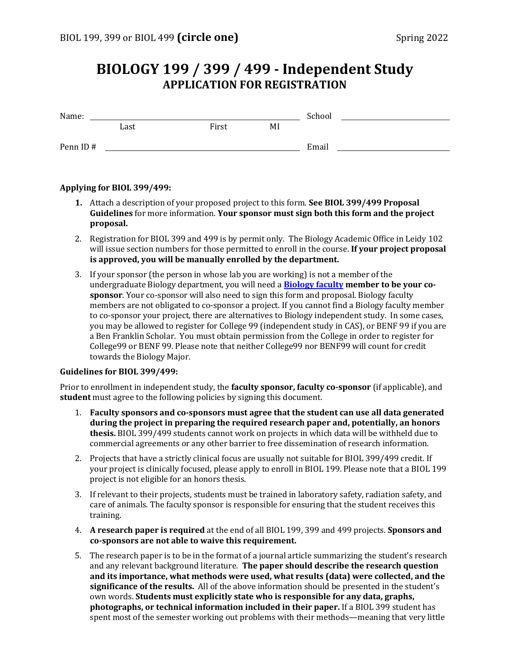## **BIOLOGY 199 / 399 / 499 - Independent Study APPLICATION FOR REGISTRATION**

| Name:    |      |       | School |       |  |
|----------|------|-------|--------|-------|--|
|          | Last | First | MI     |       |  |
| Penn ID# |      |       |        | Email |  |

## **Applying for BIOL 399/499:**

- **1.** Attach a description of your proposed project to this form. **See BIOL 399/499 Proposal Guidelines** for more information. **Your sponsor must sign both this form and the project proposal.**
- 2. Registration for BIOL 399 and 499 is by permit only. The Biology Academic Office in Leidy 102 will issue section numbers for those permitted to enroll in the course. **If your project proposal is approved, you will be manually enrolled by the department.**
- 3. If your sponsor (the person in whose lab you are working) is not a member of the undergraduate Biology department, you will need a **[Biology faculty](https://www.bio.upenn.edu/people) member to be your cosponsor**. Your co-sponsor will also need to sign this form and proposal. Biology faculty members are not obligated to co-sponsor a project. If you cannot find a Biology faculty member to co-sponsor your project, there are alternatives to Biology independent study. In some cases, you may be allowed to register for College 99 (independent study in CAS), or BENF 99 if you are a Ben Franklin Scholar. You must obtain permission from the College in order to register for College99 or BENF 99. Please note that neither College99 nor BENF99 will count for credit towards the Biology Major.

## **Guidelines for BIOL 399/499:**

Prior to enrollment in independent study, the **faculty sponsor, faculty co-sponsor** (if applicable), and **student** must agree to the following policies by signing this document.

- 1. **Faculty sponsors and co-sponsors must agree that the student can use all data generated during the project in preparing the required research paper and, potentially, an honors thesis.** BIOL 399/499 students cannot work on projects in which data will be withheld due to commercial agreements or any other barrier to free dissemination of research information.
- 2. Projects that have a strictly clinical focus are usually not suitable for BIOL 399/499 credit. If your project is clinically focused, please apply to enroll in BIOL 199. Please note that a BIOL 199 project is not eligible for an honors thesis.
- 3. If relevant to their projects, students must be trained in laboratory safety, radiation safety, and care of animals. The faculty sponsor is responsible for ensuring that the student receives this training.
- 4. **A research paper is required** at the end of all BIOL 199, 399 and 499 projects. **Sponsors and co-sponsors are not able to waive this requirement.**
- 5. The research paper is to be in the format of a journal article summarizing the student's research and any relevant background literature. **The paper should describe the research question and its importance, what methods were used, what results (data) were collected, and the significance of the results.** All of the above information should be presented in the student's own words. **Students must explicitly state who is responsible for any data, graphs, photographs, or technical information included in their paper.** If a BIOL 399 student has spent most of the semester working out problems with their methods—meaning that very little